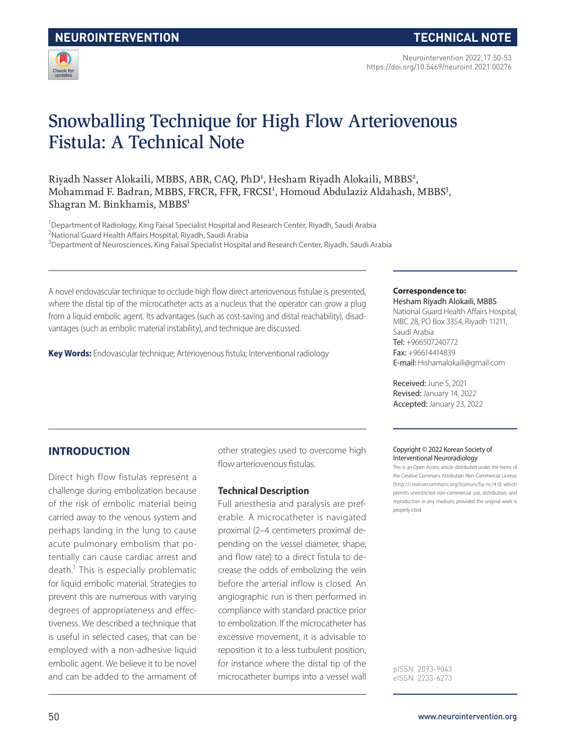

Neurointervention 2022;17:50-53 https://doi.org/10.5469/neuroint.2021.00276

# Snowballing Technique for High Flow Arteriovenous Fistula: A Technical Note

Riyadh Nasser Alokaili, MBBS, ABR, CAQ, PhD<sup>1</sup>, Hesham Riyadh Alokaili, MBBS<sup>2</sup>, Mohammad F. Badran, MBBS, FRCR, FFR, FRCSI<sup>1</sup>, Homoud Abdulaziz Aldahash, MBBS<sup>3</sup>, Shagran M. Binkhamis, MBBS<sup>1</sup>

<sup>1</sup>Department of Radiology, King Faisal Specialist Hospital and Research Center, Riyadh, Saudi Arabia <sup>2</sup>National Guard Health Affairs Hospital, Riyadh, Saudi Arabia

<sup>3</sup>Department of Neurosciences, King Faisal Specialist Hospital and Research Center, Riyadh, Saudi Arabia

A novel endovascular technique to occlude high flow direct arteriovenous fistulae is presented, where the distal tip of the microcatheter acts as a nucleus that the operator can grow a plug from a liquid embolic agent. Its advantages (such as cost-saving and distal reachability), disadvantages (such as embolic material instability), and technique are discussed.

**Key Words:** Endovascular technique; Arteriovenous fistula; Interventional radiology

#### **Correspondence to:**

Hesham Riyadh Alokaili, MBBS National Guard Health Affairs Hospital, MBC 28, PO Box 3354, Riyadh 11211, Saudi Arabia Tel: +966507240772 Fax: +96614414839 E-mail: Hishamalokaili@gmail.com

Received: June 5, 2021 Revised: January 14, 2022 Accepted: January 23, 2022

## **INTRODUCTION**

Direct high flow fistulas represent a challenge during embolization because of the risk of embolic material being carried away to the venous system and perhaps landing in the lung to cause acute pulmonary embolism that potentially can cause cardiac arrest and death.<sup>1</sup> This is especially problematic for liquid embolic material. Strategies to prevent this are numerous with varying degrees of appropriateness and effectiveness. We described a technique that is useful in selected cases, that can be employed with a non-adhesive liquid embolic agent. We believe it to be novel and can be added to the armament of

other strategies used to overcome high flow arteriovenous fistulas.

#### **Technical Description**

Full anesthesia and paralysis are preferable. A microcatheter is navigated proximal (2–4 centimeters proximal depending on the vessel diameter, shape, and flow rate) to a direct fistula to decrease the odds of embolizing the vein before the arterial inflow is closed. An angiographic run is then performed in compliance with standard practice prior to embolization. If the microcatheter has excessive movement, it is advisable to reposition it to a less turbulent position, for instance where the distal tip of the microcatheter bumps into a vessel wall

#### Copyright © 2022 Korean Society of Interventional Neuroradiology

This is an Open Access article distributed under the terms of the Creative Commons Attribution Non-Commercial License (http://creativecommons.org/licenses/by-nc/4.0) which permits unrestricted non-commercial use, distribution, and reproduction in any medium, provided the original work is properly cited.

pISSN 2093-9043 eISSN 2233-6273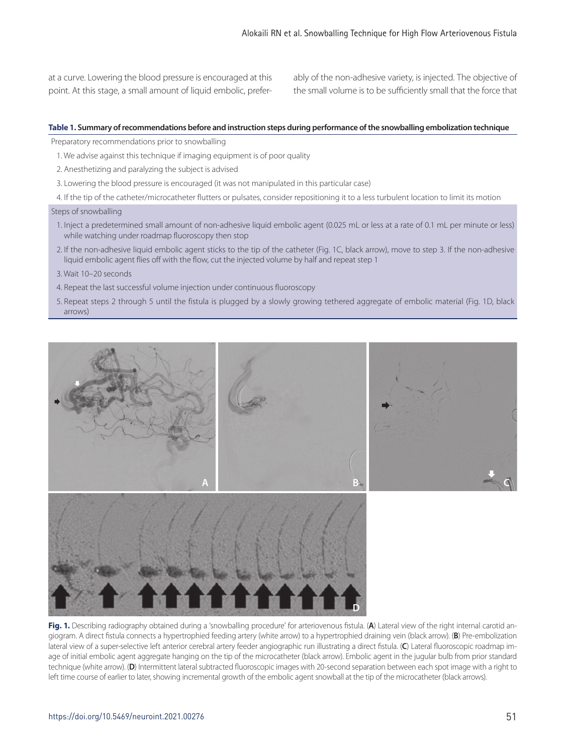at a curve. Lowering the blood pressure is encouraged at this point. At this stage, a small amount of liquid embolic, preferably of the non-adhesive variety, is injected. The objective of the small volume is to be sufficiently small that the force that

#### **Table 1. Summary of recommendations before and instruction steps during performance of the snowballing embolization technique**

Preparatory recommendations prior to snowballing

- 1. We advise against this technique if imaging equipment is of poor quality
- 2. Anesthetizing and paralyzing the subject is advised
- 3. Lowering the blood pressure is encouraged (it was not manipulated in this particular case)
- 4. If the tip of the catheter/microcatheter flutters or pulsates, consider repositioning it to a less turbulent location to limit its motion

#### Steps of snowballing

- 1. Inject a predetermined small amount of non-adhesive liquid embolic agent (0.025 mL or less at a rate of 0.1 mL per minute or less) while watching under roadmap fluoroscopy then stop
- 2. If the non-adhesive liquid embolic agent sticks to the tip of the catheter (Fig. 1C, black arrow), move to step 3. If the non-adhesive liquid embolic agent flies off with the flow, cut the injected volume by half and repeat step 1
- 3. Wait 10–20 seconds
- 4. Repeat the last successful volume injection under continuous fluoroscopy
- 5. Repeat steps 2 through 5 until the fistula is plugged by a slowly growing tethered aggregate of embolic material (Fig. 1D, black arrows)



**Fig. 1.** Describing radiography obtained during a 'snowballing procedure' for arteriovenous fistula. (**A**) Lateral view of the right internal carotid angiogram. A direct fistula connects a hypertrophied feeding artery (white arrow) to a hypertrophied draining vein (black arrow). (**B**) Pre-embolization lateral view of a super-selective left anterior cerebral artery feeder angiographic run illustrating a direct fistula. (**C**) Lateral fluoroscopic roadmap image of initial embolic agent aggregate hanging on the tip of the microcatheter (black arrow). Embolic agent in the jugular bulb from prior standard technique (white arrow). (**D**) Intermittent lateral subtracted fluoroscopic images with 20-second separation between each spot image with a right to left time course of earlier to later, showing incremental growth of the embolic agent snowball at the tip of the microcatheter (black arrows).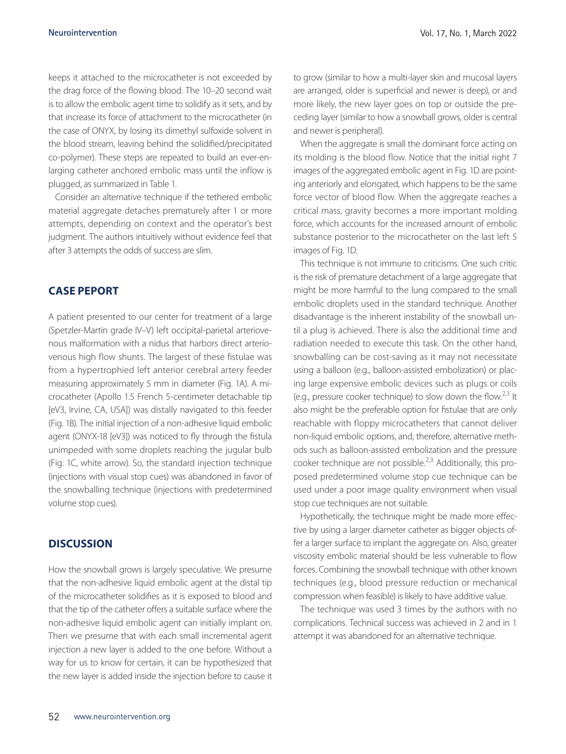keeps it attached to the microcatheter is not exceeded by the drag force of the flowing blood. The 10–20 second wait is to allow the embolic agent time to solidify as it sets, and by that increase its force of attachment to the microcatheter (in the case of ONYX, by losing its dimethyl sulfoxide solvent in the blood stream, leaving behind the solidified/precipitated co-polymer). These steps are repeated to build an ever-enlarging catheter anchored embolic mass until the inflow is plugged, as summarized in Table 1.

Consider an alternative technique if the tethered embolic material aggregate detaches prematurely after 1 or more attempts, depending on context and the operator's best judgment. The authors intuitively without evidence feel that after 3 attempts the odds of success are slim.

## **CASE PEPORT**

A patient presented to our center for treatment of a large (Spetzler-Martin grade IV–V) left occipital-parietal arteriovenous malformation with a nidus that harbors direct arteriovenous high flow shunts. The largest of these fistulae was from a hypertrophied left anterior cerebral artery feeder measuring approximately 5 mm in diameter (Fig. 1A). A microcatheter (Apollo 1.5 French 5-centimeter detachable tip [eV3, Irvine, CA, USA]) was distally navigated to this feeder (Fig. 1B). The initial injection of a non-adhesive liquid embolic agent (ONYX-18 [eV3]) was noticed to fly through the fistula unimpeded with some droplets reaching the jugular bulb (Fig. 1C, white arrow). So, the standard injection technique (injections with visual stop cues) was abandoned in favor of the snowballing technique (injections with predetermined volume stop cues).

## **DISCUSSION**

How the snowball grows is largely speculative. We presume that the non-adhesive liquid embolic agent at the distal tip of the microcatheter solidifies as it is exposed to blood and that the tip of the catheter offers a suitable surface where the non-adhesive liquid embolic agent can initially implant on. Then we presume that with each small incremental agent injection a new layer is added to the one before. Without a way for us to know for certain, it can be hypothesized that the new layer is added inside the injection before to cause it to grow (similar to how a multi-layer skin and mucosal layers are arranged, older is superficial and newer is deep), or and more likely, the new layer goes on top or outside the preceding layer (similar to how a snowball grows, older is central and newer is peripheral).

When the aggregate is small the dominant force acting on its molding is the blood flow. Notice that the initial right 7 images of the aggregated embolic agent in Fig. 1D are pointing anteriorly and elongated, which happens to be the same force vector of blood flow. When the aggregate reaches a critical mass, gravity becomes a more important molding force, which accounts for the increased amount of embolic substance posterior to the microcatheter on the last left 5 images of Fig. 1D.

This technique is not immune to criticisms. One such critic is the risk of premature detachment of a large aggregate that might be more harmful to the lung compared to the small embolic droplets used in the standard technique. Another disadvantage is the inherent instability of the snowball until a plug is achieved. There is also the additional time and radiation needed to execute this task. On the other hand, snowballing can be cost-saving as it may not necessitate using a balloon (e.g., balloon-assisted embolization) or placing large expensive embolic devices such as plugs or coils (e.g., pressure cooker technique) to slow down the flow.<sup>2,3</sup> It also might be the preferable option for fistulae that are only reachable with floppy microcatheters that cannot deliver non-liquid embolic options, and, therefore, alternative methods such as balloon-assisted embolization and the pressure cooker technique are not possible.<sup>2,3</sup> Additionally, this proposed predetermined volume stop cue technique can be used under a poor image quality environment when visual stop cue techniques are not suitable.

Hypothetically, the technique might be made more effective by using a larger diameter catheter as bigger objects offer a larger surface to implant the aggregate on. Also, greater viscosity embolic material should be less vulnerable to flow forces. Combining the snowball technique with other known techniques (e.g., blood pressure reduction or mechanical compression when feasible) is likely to have additive value.

The technique was used 3 times by the authors with no complications. Technical success was achieved in 2 and in 1 attempt it was abandoned for an alternative technique.